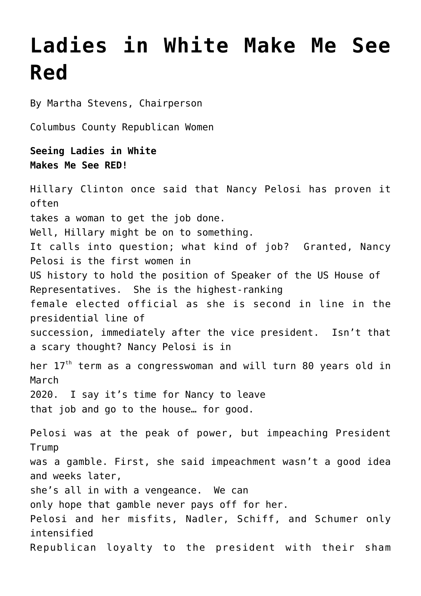## **[Ladies in White Make Me See](https://columbuscountyconservative.com/index.php/ladies-in-white-make-me-see-red/) [Red](https://columbuscountyconservative.com/index.php/ladies-in-white-make-me-see-red/)**

By Martha Stevens, Chairperson

Columbus County Republican Women

## **Seeing Ladies in White Makes Me See RED!**

Hillary Clinton once said that Nancy Pelosi has proven it often takes a woman to get the job done. Well, Hillary might be on to something. It calls into question; what kind of job? Granted, Nancy Pelosi is the first women in US history to hold the position of Speaker of the US House of Representatives. She is the highest-ranking female elected official as she is second in line in the presidential line of succession, immediately after the vice president. Isn't that a scary thought? Nancy Pelosi is in her 17<sup>th</sup> term as a congresswoman and will turn 80 years old in March 2020. I say it's time for Nancy to leave that job and go to the house… for good. Pelosi was at the peak of power, but impeaching President Trump was a gamble. First, she said impeachment wasn't a good idea and weeks later, she's all in with a vengeance. We can only hope that gamble never pays off for her. Pelosi and her misfits, Nadler, Schiff, and Schumer only intensified Republican loyalty to the president with their sham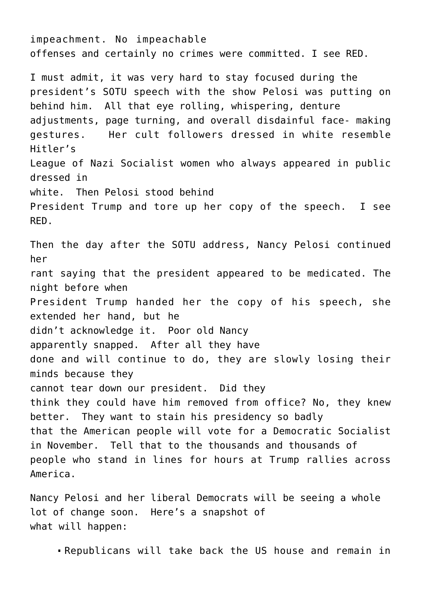impeachment. No impeachable offenses and certainly no crimes were committed. I see RED. I must admit, it was very hard to stay focused during the president's SOTU speech with the show Pelosi was putting on behind him. All that eye rolling, whispering, denture adjustments, page turning, and overall disdainful face- making gestures. Her cult followers dressed in white resemble Hitler's League of Nazi Socialist women who always appeared in public dressed in white. Then Pelosi stood behind President Trump and tore up her copy of the speech. I see RED. Then the day after the SOTU address, Nancy Pelosi continued her rant saying that the president appeared to be medicated. The night before when President Trump handed her the copy of his speech, she extended her hand, but he didn't acknowledge it. Poor old Nancy apparently snapped. After all they have done and will continue to do, they are slowly losing their minds because they cannot tear down our president. Did they think they could have him removed from office? No, they knew better. They want to stain his presidency so badly that the American people will vote for a Democratic Socialist in November. Tell that to the thousands and thousands of people who stand in lines for hours at Trump rallies across America.

Nancy Pelosi and her liberal Democrats will be seeing a whole lot of change soon. Here's a snapshot of what will happen:

Republicans will take back the US house and remain in